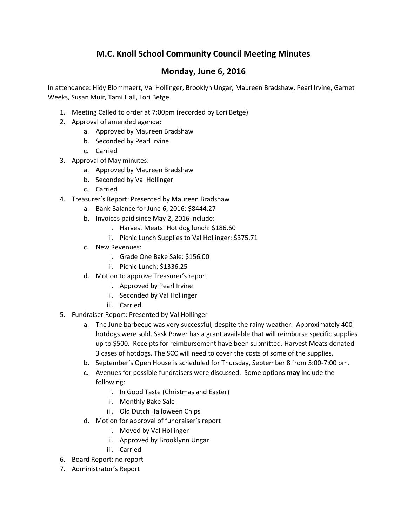## **M.C. Knoll School Community Council Meeting Minutes**

## **Monday, June 6, 2016**

In attendance: Hidy Blommaert, Val Hollinger, Brooklyn Ungar, Maureen Bradshaw, Pearl Irvine, Garnet Weeks, Susan Muir, Tami Hall, Lori Betge

- 1. Meeting Called to order at 7:00pm (recorded by Lori Betge)
- 2. Approval of amended agenda:
	- a. Approved by Maureen Bradshaw
	- b. Seconded by Pearl Irvine
	- c. Carried
- 3. Approval of May minutes:
	- a. Approved by Maureen Bradshaw
	- b. Seconded by Val Hollinger
	- c. Carried
- 4. Treasurer's Report: Presented by Maureen Bradshaw
	- a. Bank Balance for June 6, 2016: \$8444.27
	- b. Invoices paid since May 2, 2016 include:
		- i. Harvest Meats: Hot dog lunch: \$186.60
		- ii. Picnic Lunch Supplies to Val Hollinger: \$375.71
	- c. New Revenues:
		- i. Grade One Bake Sale: \$156.00
		- ii. Picnic Lunch: \$1336.25
	- d. Motion to approve Treasurer's report
		- i. Approved by Pearl Irvine
		- ii. Seconded by Val Hollinger
		- iii. Carried
- 5. Fundraiser Report: Presented by Val Hollinger
	- a. The June barbecue was very successful, despite the rainy weather. Approximately 400 hotdogs were sold. Sask Power has a grant available that will reimburse specific supplies up to \$500. Receipts for reimbursement have been submitted. Harvest Meats donated 3 cases of hotdogs. The SCC will need to cover the costs of some of the supplies.
	- b. September's Open House is scheduled for Thursday, September 8 from 5:00-7:00 pm.
	- c. Avenues for possible fundraisers were discussed. Some options **may** include the following:
		- i. In Good Taste (Christmas and Easter)
		- ii. Monthly Bake Sale
		- iii. Old Dutch Halloween Chips
	- d. Motion for approval of fundraiser's report
		- i. Moved by Val Hollinger
		- ii. Approved by Brooklynn Ungar
		- iii. Carried
- 6. Board Report: no report
- 7. Administrator's Report